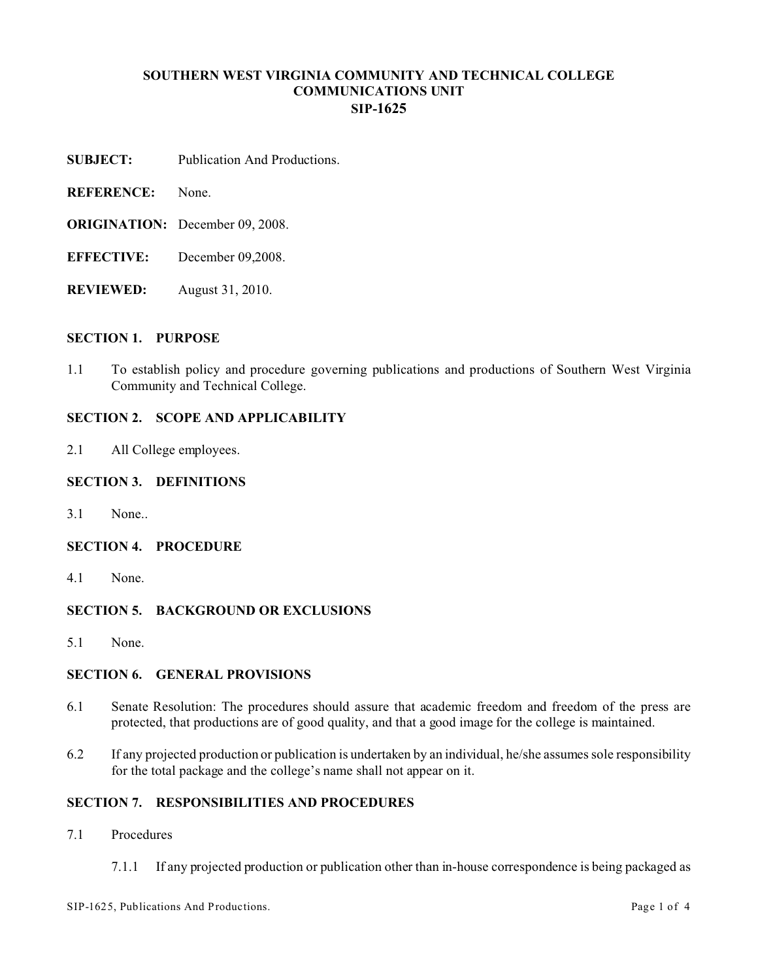# **SOUTHERN WEST VIRGINIA COMMUNITY AND TECHNICAL COLLEGE COMMUNICATIONS UNIT SIP-1625**

- **SUBJECT:** Publication And Productions.
- **REFERENCE:** None.
- **ORIGINATION:** December 09, 2008.
- **EFFECTIVE:** December 09,2008.
- **REVIEWED:** August 31, 2010.

### **SECTION 1. PURPOSE**

1.1 To establish policy and procedure governing publications and productions of Southern West Virginia Community and Technical College.

# **SECTION 2. SCOPE AND APPLICABILITY**

2.1 All College employees.

### **SECTION 3. DEFINITIONS**

3.1 None..

### **SECTION 4. PROCEDURE**

4.1 None.

### **SECTION 5. BACKGROUND OR EXCLUSIONS**

5.1 None.

# **SECTION 6. GENERAL PROVISIONS**

- 6.1 Senate Resolution: The procedures should assure that academic freedom and freedom of the press are protected, that productions are of good quality, and that a good image for the college is maintained.
- 6.2 If any projected production or publication is undertaken by an individual, he/she assumes sole responsibility for the total package and the college's name shall not appear on it.

## **SECTION 7. RESPONSIBILITIES AND PROCEDURES**

- 7.1 Procedures
	- 7.1.1 If any projected production or publication other than in-house correspondence is being packaged as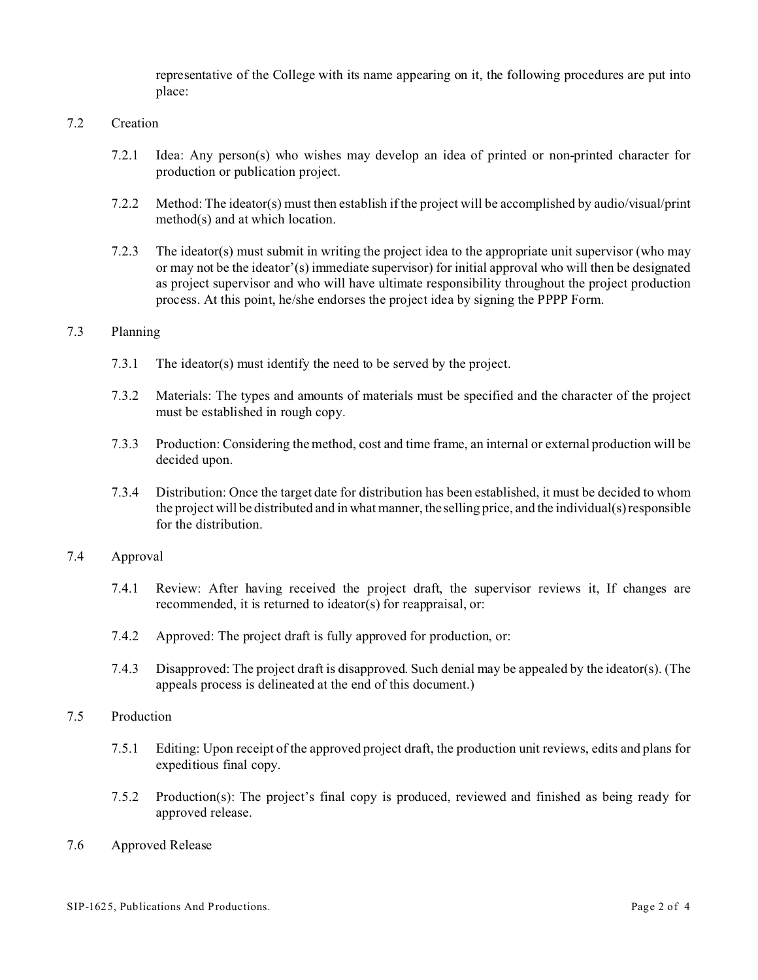representative of the College with its name appearing on it, the following procedures are put into place:

# 7.2 Creation

- 7.2.1 Idea: Any person(s) who wishes may develop an idea of printed or non-printed character for production or publication project.
- 7.2.2 Method: The ideator(s) must then establish if the project will be accomplished by audio/visual/print method(s) and at which location.
- 7.2.3 The ideator(s) must submit in writing the project idea to the appropriate unit supervisor (who may or may not be the ideator'(s) immediate supervisor) for initial approval who will then be designated as project supervisor and who will have ultimate responsibility throughout the project production process. At this point, he/she endorses the project idea by signing the PPPP Form.

### 7.3 Planning

- 7.3.1 The ideator(s) must identify the need to be served by the project.
- 7.3.2 Materials: The types and amounts of materials must be specified and the character of the project must be established in rough copy.
- 7.3.3 Production: Considering the method, cost and time frame, an internal or external production will be decided upon.
- 7.3.4 Distribution: Once the target date for distribution has been established, it must be decided to whom the project will be distributed and in what manner, the selling price, and the individual(s) responsible for the distribution.

### 7.4 Approval

- 7.4.1 Review: After having received the project draft, the supervisor reviews it, If changes are recommended, it is returned to ideator(s) for reappraisal, or:
- 7.4.2 Approved: The project draft is fully approved for production, or:
- 7.4.3 Disapproved: The project draft is disapproved. Such denial may be appealed by the ideator(s). (The appeals process is delineated at the end of this document.)

## 7.5 Production

- 7.5.1 Editing: Upon receipt of the approved project draft, the production unit reviews, edits and plans for expeditious final copy.
- 7.5.2 Production(s): The project's final copy is produced, reviewed and finished as being ready for approved release.
- 7.6 Approved Release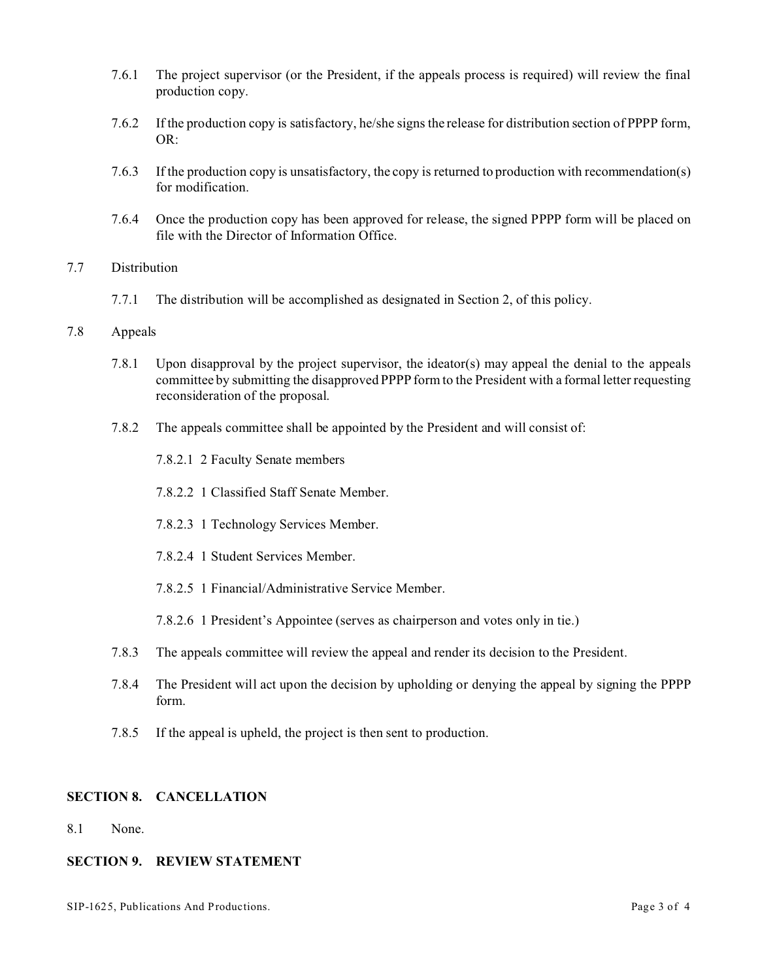- 7.6.1 The project supervisor (or the President, if the appeals process is required) will review the final production copy.
- 7.6.2 If the production copy is satisfactory, he/she signs the release for distribution section of PPPP form, OR:
- 7.6.3 If the production copy is unsatisfactory, the copy is returned to production with recommendation(s) for modification.
- 7.6.4 Once the production copy has been approved for release, the signed PPPP form will be placed on file with the Director of Information Office.

# 7.7 Distribution

7.7.1 The distribution will be accomplished as designated in Section 2, of this policy.

### 7.8 Appeals

- 7.8.1 Upon disapproval by the project supervisor, the ideator(s) may appeal the denial to the appeals committee by submitting the disapproved PPPP form to the President with a formal letter requesting reconsideration of the proposal.
- 7.8.2 The appeals committee shall be appointed by the President and will consist of:
	- 7.8.2.1 2 Faculty Senate members
	- 7.8.2.2 1 Classified Staff Senate Member.
	- 7.8.2.3 1 Technology Services Member.
	- 7.8.2.4 1 Student Services Member.
	- 7.8.2.5 1 Financial/Administrative Service Member.
	- 7.8.2.6 1 President's Appointee (serves as chairperson and votes only in tie.)
- 7.8.3 The appeals committee will review the appeal and render its decision to the President.
- 7.8.4 The President will act upon the decision by upholding or denying the appeal by signing the PPPP form.
- 7.8.5 If the appeal is upheld, the project is then sent to production.

## **SECTION 8. CANCELLATION**

8.1 None.

# **SECTION 9. REVIEW STATEMENT**